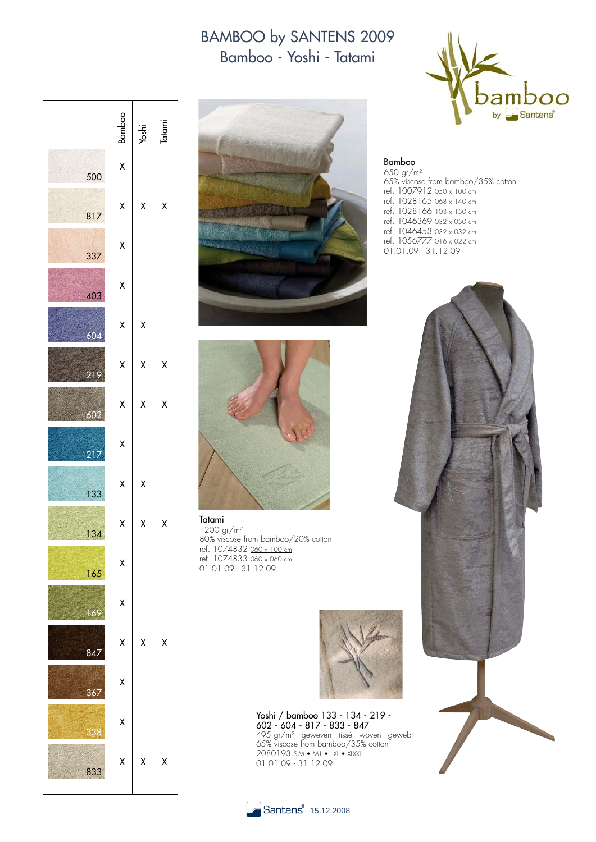## BAMBOO by SANTENS 2009 Bamboo - Yoshi - Tatami







Tatami 1200 gr/m² 80% viscose from bamboo/20% cotton ref. 1074832 060 x 100 cm ref. 1074833 060 x 060 cm 01.01.09 - 31.12.09



Yoshi / bamboo 133 - 134 - 219 - 602 - 604 - 817 - 833 - 847 495 gr/m² - geweven - tissé - woven - gewebt 65% viscose from bamboo/35% cotton 2080193 S-M • M-L • L-XL • XLXXL 01.01.09 - 31.12.09



Bamboo 650 gr/m² 65% viscose from bamboo/35% cotton ref. 1007912 <u>050 x 100 cm</u> ref. 1028165 068 x 140 cm ref. 1028166 103 x 150 cm ref. 1046369 032 x 050 cm ref. 1046453 032 x 032 cm ref. 1056777 016 x 022 cm 01.01.09 - 31.12.09



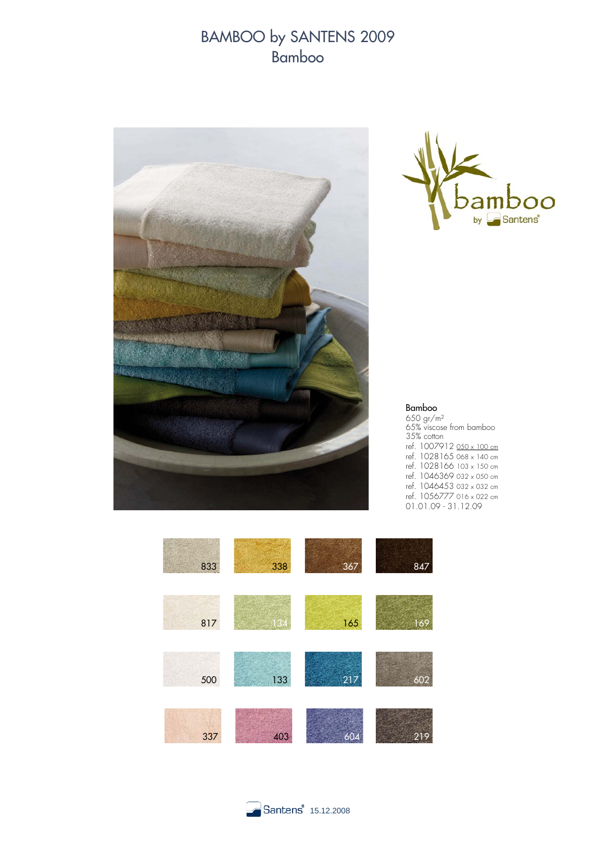## BAMBOO by SANTENS 2009 Bamboo





## Bamboo

650 gr/m² 65% viscose from bamboo 35% cotton ref. 1007912 050 x 100 cm ref. 1028165 068 x 140 cm ref. 1028166 103 x 150 cm ref. 1046369 032 x 050 cm ref. 1046453 032 x 032 cm ref. 1056777 016 x 022 cm 01.01.09 - 31.12.09



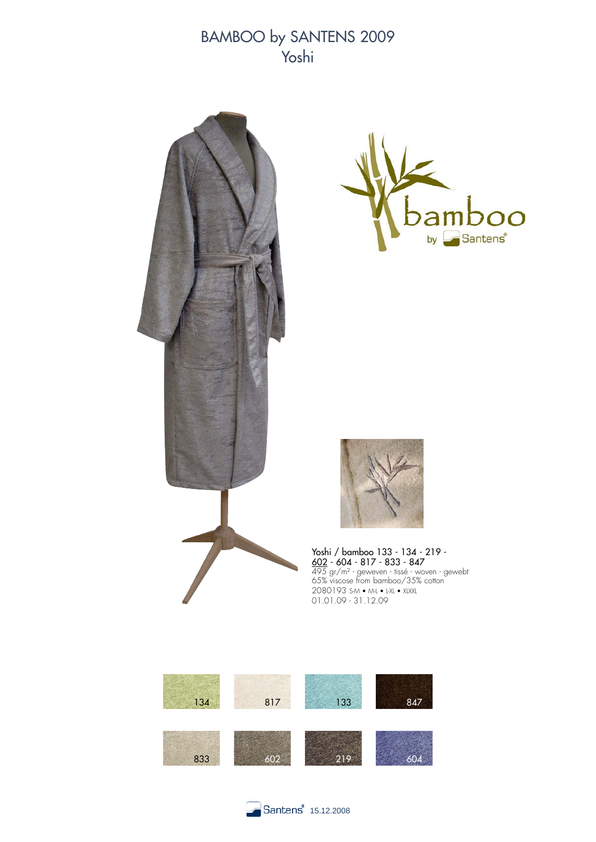BAMBOO by SANTENS 2009 Yoshi







Yoshi / bamboo 133 - 134 - 219 - <u>602</u> - 604 - 817 - 833 - 847 495 gr/m² - geweven - tissé - woven - gewebt 65% viscose from bamboo/35% cotton 2080193 S-M • M-L • L-XL • XLXXL 01.01.09 - 31.12.09